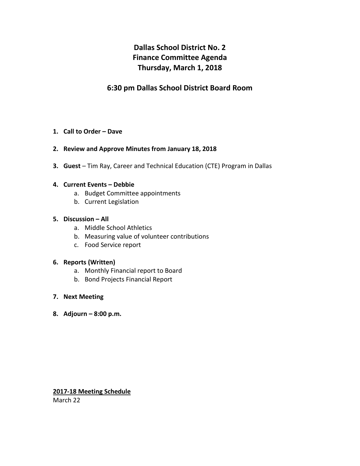# **Dallas School District No. 2 Finance Committee Agenda Thursday, March 1, 2018**

### **6:30 pm Dallas School District Board Room**

#### **1. Call to Order – Dave**

#### **2. Review and Approve Minutes from January 18, 2018**

**3. Guest** – Tim Ray, Career and Technical Education (CTE) Program in Dallas

#### **4. Current Events – Debbie**

- a. Budget Committee appointments
- b. Current Legislation

#### **5. Discussion – All**

- a. Middle School Athletics
- b. Measuring value of volunteer contributions
- c. Food Service report

#### **6. Reports (Written)**

- a. Monthly Financial report to Board
- b. Bond Projects Financial Report
- **7. Next Meeting**
- **8. Adjourn – 8:00 p.m.**

#### **2017-18 Meeting Schedule**

March 22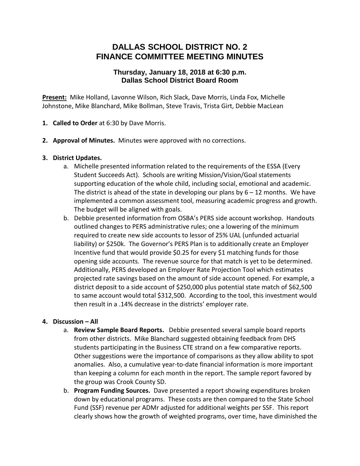## **DALLAS SCHOOL DISTRICT NO. 2 FINANCE COMMITTEE MEETING MINUTES**

### **Thursday, January 18, 2018 at 6:30 p.m. Dallas School District Board Room**

**Present:** Mike Holland, Lavonne Wilson, Rich Slack, Dave Morris, Linda Fox, Michelle Johnstone, Mike Blanchard, Mike Bollman, Steve Travis, Trista Girt, Debbie MacLean

- **1. Called to Order** at 6:30 by Dave Morris.
- **2. Approval of Minutes.** Minutes were approved with no corrections.

#### **3. District Updates.**

- a. Michelle presented information related to the requirements of the ESSA (Every Student Succeeds Act). Schools are writing Mission/Vision/Goal statements supporting education of the whole child, including social, emotional and academic. The district is ahead of the state in developing our plans by  $6 - 12$  months. We have implemented a common assessment tool, measuring academic progress and growth. The budget will be aligned with goals.
- b. Debbie presented information from OSBA's PERS side account workshop. Handouts outlined changes to PERS administrative rules; one a lowering of the minimum required to create new side accounts to lessor of 25% UAL (unfunded actuarial liability) or \$250k. The Governor's PERS Plan is to additionally create an Employer Incentive fund that would provide \$0.25 for every \$1 matching funds for those opening side accounts. The revenue source for that match is yet to be determined. Additionally, PERS developed an Employer Rate Projection Tool which estimates projected rate savings based on the amount of side account opened. For example, a district deposit to a side account of \$250,000 plus potential state match of \$62,500 to same account would total \$312,500. According to the tool, this investment would then result in a .14% decrease in the districts' employer rate.

#### **4. Discussion – All**

- a. **Review Sample Board Reports.** Debbie presented several sample board reports from other districts. Mike Blanchard suggested obtaining feedback from DHS students participating in the Business CTE strand on a few comparative reports. Other suggestions were the importance of comparisons as they allow ability to spot anomalies. Also, a cumulative year-to-date financial information is more important than keeping a column for each month in the report. The sample report favored by the group was Crook County SD.
- b. **Program Funding Sources.** Dave presented a report showing expenditures broken down by educational programs. These costs are then compared to the State School Fund (SSF) revenue per ADMr adjusted for additional weights per SSF. This report clearly shows how the growth of weighted programs, over time, have diminished the